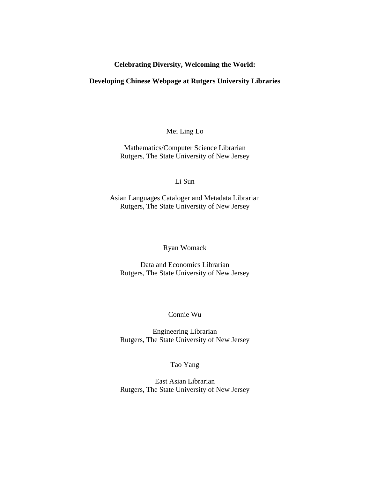# **Celebrating Diversity, Welcoming the World:**

## **Developing Chinese Webpage at Rutgers University Libraries**

Mei Ling Lo

Mathematics/Computer Science Librarian Rutgers, The State University of New Jersey

Li Sun

Asian Languages Cataloger and Metadata Librarian Rutgers, The State University of New Jersey

Ryan Womack

Data and Economics Librarian Rutgers, The State University of New Jersey

Connie Wu

Engineering Librarian Rutgers, The State University of New Jersey

Tao Yang

 East Asian Librarian Rutgers, The State University of New Jersey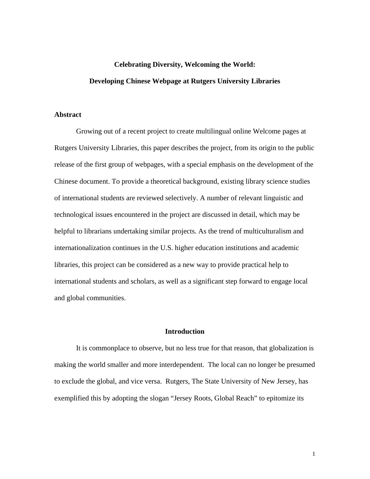# **Celebrating Diversity, Welcoming the World: Developing Chinese Webpage at Rutgers University Libraries**

#### **Abstract**

Growing out of a recent project to create multilingual online Welcome pages at Rutgers University Libraries, this paper describes the project, from its origin to the public release of the first group of webpages, with a special emphasis on the development of the Chinese document. To provide a theoretical background, existing library science studies of international students are reviewed selectively. A number of relevant linguistic and technological issues encountered in the project are discussed in detail, which may be helpful to librarians undertaking similar projects. As the trend of multiculturalism and internationalization continues in the U.S. higher education institutions and academic libraries, this project can be considered as a new way to provide practical help to international students and scholars, as well as a significant step forward to engage local and global communities.

#### **Introduction**

It is commonplace to observe, but no less true for that reason, that globalization is making the world smaller and more interdependent. The local can no longer be presumed to exclude the global, and vice versa. Rutgers, The State University of New Jersey, has exemplified this by adopting the slogan "Jersey Roots, Global Reach" to epitomize its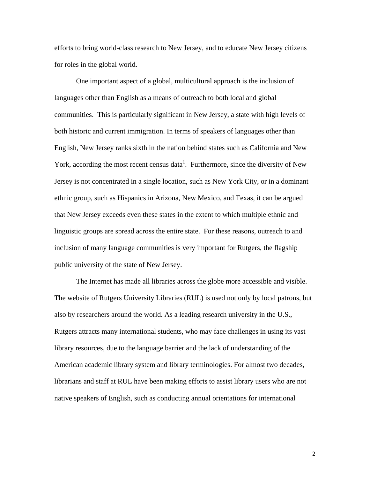efforts to bring world-class research to New Jersey, and to educate New Jersey citizens for roles in the global world.

 One important aspect of a global, multicultural approach is the inclusion of languages other than English as a means of outreach to both local and global communities. This is particularly significant in New Jersey, a state with high levels of both historic and current immigration. In terms of speakers of languages other than English, New Jersey ranks sixth in the nation behind states such as California and New York, according the most recent census data<sup>1</sup>. Furthermore, since the diversity of New Jersey is not concentrated in a single location, such as New York City, or in a dominant ethnic group, such as Hispanics in Arizona, New Mexico, and Texas, it can be argued that New Jersey exceeds even these states in the extent to which multiple ethnic and linguistic groups are spread across the entire state. For these reasons, outreach to and inclusion of many language communities is very important for Rutgers, the flagship public university of the state of New Jersey.

The Internet has made all libraries across the globe more accessible and visible. The website of Rutgers University Libraries (RUL) is used not only by local patrons, but also by researchers around the world. As a leading research university in the U.S., Rutgers attracts many international students, who may face challenges in using its vast library resources, due to the language barrier and the lack of understanding of the American academic library system and library terminologies. For almost two decades, librarians and staff at RUL have been making efforts to assist library users who are not native speakers of English, such as conducting annual orientations for international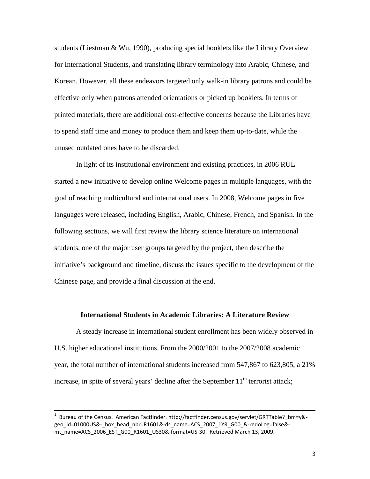students (Liestman & Wu, 1990), producing special booklets like the Library Overview for International Students, and translating library terminology into Arabic, Chinese, and Korean. However, all these endeavors targeted only walk-in library patrons and could be effective only when patrons attended orientations or picked up booklets. In terms of printed materials, there are additional cost-effective concerns because the Libraries have to spend staff time and money to produce them and keep them up-to-date, while the unused outdated ones have to be discarded.

In light of its institutional environment and existing practices, in 2006 RUL started a new initiative to develop online Welcome pages in multiple languages, with the goal of reaching multicultural and international users. In 2008, Welcome pages in five languages were released, including English, Arabic, Chinese, French, and Spanish. In the following sections, we will first review the library science literature on international students, one of the major user groups targeted by the project, then describe the initiative's background and timeline, discuss the issues specific to the development of the Chinese page, and provide a final discussion at the end.

#### **International Students in Academic Libraries: A Literature Review**

A steady increase in international student enrollment has been widely observed in U.S. higher educational institutions. From the 2000/2001 to the 2007/2008 academic year, the total number of international students increased from 547,867 to 623,805, a 21% increase, in spite of several years' decline after the September  $11<sup>th</sup>$  terrorist attack;

<sup>&</sup>lt;u>.</u><br>1 Bureau of the Census. American Factfinder. http://factfinder.census.gov/servlet/GRTTable?\_bm=y&geo id=01000US&- box head nbr=R1601&-ds name=ACS 2007 1YR G00 &-redoLog=false&mt\_name=ACS\_2006\_EST\_G00\_R1601\_US30&-format=US-30. Retrieved March 13, 2009.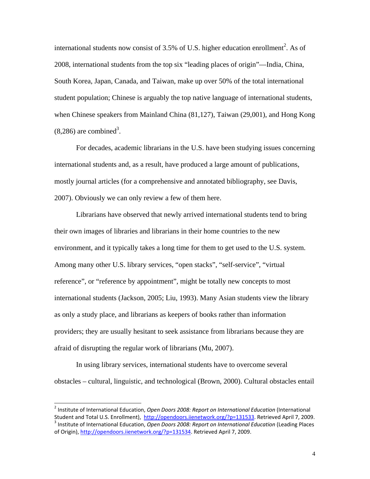international students now consist of 3.5% of U.S. higher education enrollment<sup>2</sup>. As of 2008, international students from the top six "leading places of origin"—India, China, South Korea, Japan, Canada, and Taiwan, make up over 50% of the total international student population; Chinese is arguably the top native language of international students, when Chinese speakers from Mainland China (81,127), Taiwan (29,001), and Hong Kong  $(8,286)$  are combined<sup>3</sup>.

For decades, academic librarians in the U.S. have been studying issues concerning international students and, as a result, have produced a large amount of publications, mostly journal articles (for a comprehensive and annotated bibliography, see Davis, 2007). Obviously we can only review a few of them here.

Librarians have observed that newly arrived international students tend to bring their own images of libraries and librarians in their home countries to the new environment, and it typically takes a long time for them to get used to the U.S. system. Among many other U.S. library services, "open stacks", "self-service", "virtual reference", or "reference by appointment", might be totally new concepts to most international students (Jackson, 2005; Liu, 1993). Many Asian students view the library as only a study place, and librarians as keepers of books rather than information providers; they are usually hesitant to seek assistance from librarians because they are afraid of disrupting the regular work of librarians (Mu, 2007).

In using library services, international students have to overcome several obstacles – cultural, linguistic, and technological (Brown, 2000). Cultural obstacles entail

 $\overline{a}$ 

<sup>2</sup> Institute of International Education, *Open Doors 2008: Report on International Education* (International Student and Total U.S. Enrollment), http://opendoors.iienetwork.org/?p=131533. Retrieved April 7, 2009.<br><sup>3</sup> Institute of International Education, Open Doors 2008: Report on International Education (Leading Places of Origin), http://opendoors.iienetwork.org/?p=131534. Retrieved April 7, 2009.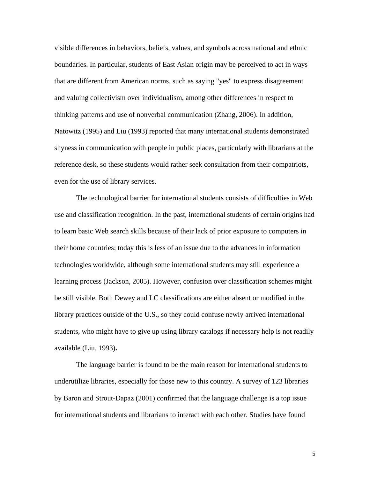visible differences in behaviors, beliefs, values, and symbols across national and ethnic boundaries. In particular, students of East Asian origin may be perceived to act in ways that are different from American norms, such as saying "yes" to express disagreement and valuing collectivism over individualism, among other differences in respect to thinking patterns and use of nonverbal communication (Zhang, 2006). In addition, Natowitz (1995) and Liu (1993) reported that many international students demonstrated shyness in communication with people in public places, particularly with librarians at the reference desk, so these students would rather seek consultation from their compatriots, even for the use of library services.

The technological barrier for international students consists of difficulties in Web use and classification recognition. In the past, international students of certain origins had to learn basic Web search skills because of their lack of prior exposure to computers in their home countries; today this is less of an issue due to the advances in information technologies worldwide, although some international students may still experience a learning process (Jackson, 2005). However, confusion over classification schemes might be still visible. Both Dewey and LC classifications are either absent or modified in the library practices outside of the U.S., so they could confuse newly arrived international students, who might have to give up using library catalogs if necessary help is not readily available (Liu, 1993)**.**

The language barrier is found to be the main reason for international students to underutilize libraries, especially for those new to this country. A survey of 123 libraries by Baron and Strout-Dapaz (2001) confirmed that the language challenge is a top issue for international students and librarians to interact with each other. Studies have found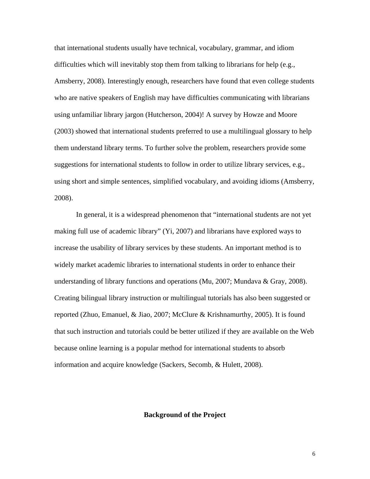that international students usually have technical, vocabulary, grammar, and idiom difficulties which will inevitably stop them from talking to librarians for help (e.g., Amsberry, 2008). Interestingly enough, researchers have found that even college students who are native speakers of English may have difficulties communicating with librarians using unfamiliar library jargon (Hutcherson, 2004)! A survey by Howze and Moore (2003) showed that international students preferred to use a multilingual glossary to help them understand library terms. To further solve the problem, researchers provide some suggestions for international students to follow in order to utilize library services, e.g., using short and simple sentences, simplified vocabulary, and avoiding idioms (Amsberry, 2008).

In general, it is a widespread phenomenon that "international students are not yet making full use of academic library" (Yi, 2007) and librarians have explored ways to increase the usability of library services by these students. An important method is to widely market academic libraries to international students in order to enhance their understanding of library functions and operations (Mu, 2007; Mundava & Gray, 2008). Creating bilingual library instruction or multilingual tutorials has also been suggested or reported (Zhuo, Emanuel, & Jiao, 2007; McClure & Krishnamurthy, 2005). It is found that such instruction and tutorials could be better utilized if they are available on the Web because online learning is a popular method for international students to absorb information and acquire knowledge (Sackers, Secomb, & Hulett, 2008).

#### **Background of the Project**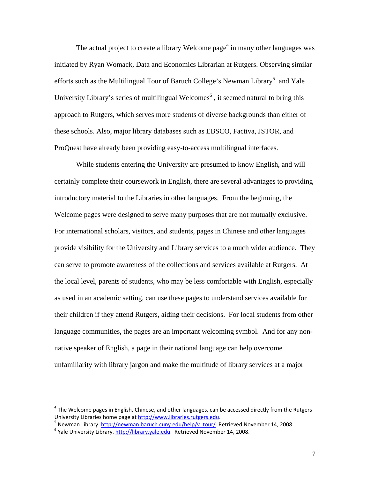The actual project to create a library Welcome page<sup>4</sup> in many other languages was initiated by Ryan Womack, Data and Economics Librarian at Rutgers. Observing similar efforts such as the Multilingual Tour of Baruch College's Newman Library<sup>5</sup> and Yale University Library's series of multilingual Welcomes $<sup>6</sup>$ , it seemed natural to bring this</sup> approach to Rutgers, which serves more students of diverse backgrounds than either of these schools. Also, major library databases such as EBSCO, Factiva, JSTOR, and ProQuest have already been providing easy-to-access multilingual interfaces.

While students entering the University are presumed to know English, and will certainly complete their coursework in English, there are several advantages to providing introductory material to the Libraries in other languages. From the beginning, the Welcome pages were designed to serve many purposes that are not mutually exclusive. For international scholars, visitors, and students, pages in Chinese and other languages provide visibility for the University and Library services to a much wider audience. They can serve to promote awareness of the collections and services available at Rutgers. At the local level, parents of students, who may be less comfortable with English, especially as used in an academic setting, can use these pages to understand services available for their children if they attend Rutgers, aiding their decisions. For local students from other language communities, the pages are an important welcoming symbol. And for any nonnative speaker of English, a page in their national language can help overcome unfamiliarity with library jargon and make the multitude of library services at a major

 $\overline{a}$ 

 $4$  The Welcome pages in English, Chinese, and other languages, can be accessed directly from the Rutgers University Libraries home page at http://www.libraries.rutgers.edu.<br>
<sup>5</sup> Newman Library. http://newman.baruch.cuny.edu/help/v\_tour/. Retrieved November 14, 2008.<br>
<sup>6</sup> Yale University Library. http://library.yale.edu. Retri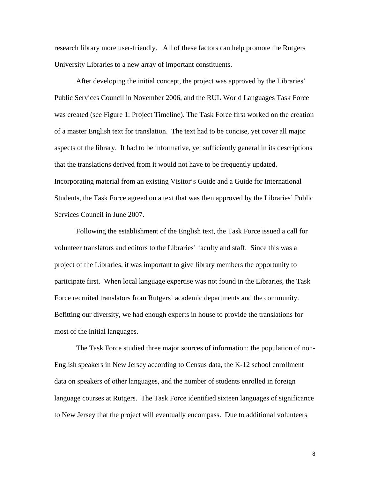research library more user-friendly. All of these factors can help promote the Rutgers University Libraries to a new array of important constituents.

After developing the initial concept, the project was approved by the Libraries' Public Services Council in November 2006, and the RUL World Languages Task Force was created (see Figure 1: Project Timeline). The Task Force first worked on the creation of a master English text for translation. The text had to be concise, yet cover all major aspects of the library. It had to be informative, yet sufficiently general in its descriptions that the translations derived from it would not have to be frequently updated. Incorporating material from an existing Visitor's Guide and a Guide for International Students, the Task Force agreed on a text that was then approved by the Libraries' Public Services Council in June 2007.

Following the establishment of the English text, the Task Force issued a call for volunteer translators and editors to the Libraries' faculty and staff. Since this was a project of the Libraries, it was important to give library members the opportunity to participate first. When local language expertise was not found in the Libraries, the Task Force recruited translators from Rutgers' academic departments and the community. Befitting our diversity, we had enough experts in house to provide the translations for most of the initial languages.

The Task Force studied three major sources of information: the population of non-English speakers in New Jersey according to Census data, the K-12 school enrollment data on speakers of other languages, and the number of students enrolled in foreign language courses at Rutgers. The Task Force identified sixteen languages of significance to New Jersey that the project will eventually encompass. Due to additional volunteers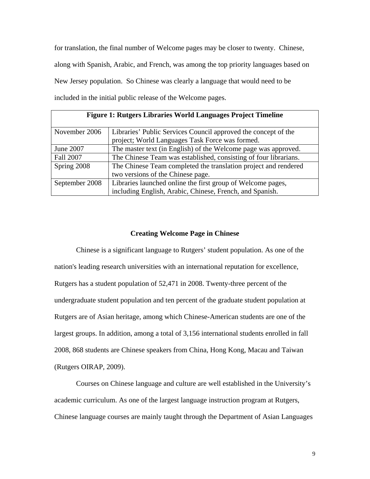for translation, the final number of Welcome pages may be closer to twenty. Chinese, along with Spanish, Arabic, and French, was among the top priority languages based on New Jersey population. So Chinese was clearly a language that would need to be included in the initial public release of the Welcome pages.

| <b>Figure 1: Rutgers Libraries World Languages Project Timeline</b> |                                                                  |
|---------------------------------------------------------------------|------------------------------------------------------------------|
| November 2006                                                       | Libraries' Public Services Council approved the concept of the   |
|                                                                     | project; World Languages Task Force was formed.                  |
| June 2007                                                           | The master text (in English) of the Welcome page was approved.   |
| Fall 2007                                                           | The Chinese Team was established, consisting of four librarians. |
| Spring 2008                                                         | The Chinese Team completed the translation project and rendered  |
|                                                                     | two versions of the Chinese page.                                |
| September 2008                                                      | Libraries launched online the first group of Welcome pages,      |
|                                                                     | including English, Arabic, Chinese, French, and Spanish.         |

#### **Creating Welcome Page in Chinese**

Chinese is a significant language to Rutgers' student population. As one of the nation's leading research universities with an international reputation for excellence, Rutgers has a student population of 52,471 in 2008. Twenty-three percent of the undergraduate student population and ten percent of the graduate student population at Rutgers are of Asian heritage, among which Chinese-American students are one of the largest groups. In addition, among a total of 3,156 international students enrolled in fall 2008, 868 students are Chinese speakers from China, Hong Kong, Macau and Taiwan (Rutgers OIRAP, 2009).

Courses on Chinese language and culture are well established in the University's academic curriculum. As one of the largest language instruction program at Rutgers, Chinese language courses are mainly taught through the Department of Asian Languages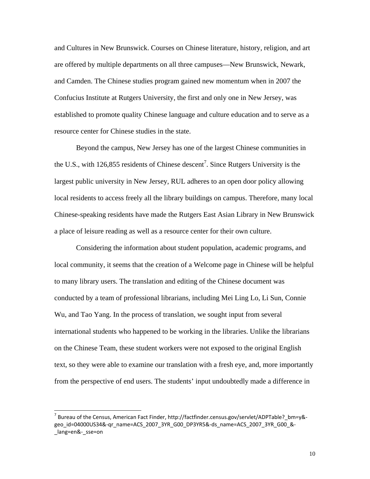and Cultures in New Brunswick. Courses on Chinese literature, history, religion, and art are offered by multiple departments on all three campuses—New Brunswick, Newark, and Camden. The Chinese studies program gained new momentum when in 2007 the Confucius Institute at Rutgers University, the first and only one in New Jersey, was established to promote quality Chinese language and culture education and to serve as a resource center for Chinese studies in the state.

Beyond the campus, New Jersey has one of the largest Chinese communities in the U.S., with 126,855 residents of Chinese descent<sup>7</sup>. Since Rutgers University is the largest public university in New Jersey, RUL adheres to an open door policy allowing local residents to access freely all the library buildings on campus. Therefore, many local Chinese-speaking residents have made the Rutgers East Asian Library in New Brunswick a place of leisure reading as well as a resource center for their own culture.

Considering the information about student population, academic programs, and local community, it seems that the creation of a Welcome page in Chinese will be helpful to many library users. The translation and editing of the Chinese document was conducted by a team of professional librarians, including Mei Ling Lo, Li Sun, Connie Wu, and Tao Yang. In the process of translation, we sought input from several international students who happened to be working in the libraries. Unlike the librarians on the Chinese Team, these student workers were not exposed to the original English text, so they were able to examine our translation with a fresh eye, and, more importantly from the perspective of end users. The students' input undoubtedly made a difference in

 $\overline{a}$ 

 $^7$  Bureau of the Census, American Fact Finder, http://factfinder.census.gov/servlet/ADPTable?\_bm=y&geo id=04000US34&-qr\_name=ACS\_2007\_3YR\_G00\_DP3YR5&-ds\_name=ACS\_2007\_3YR\_G00\_&lang=en&- sse=on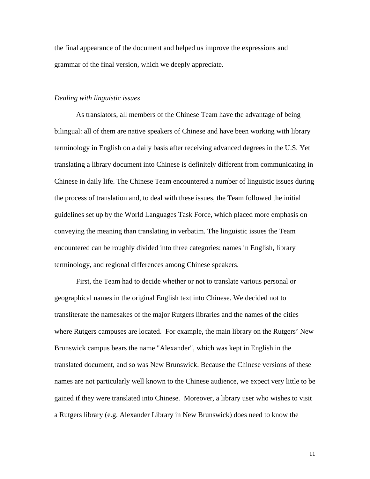the final appearance of the document and helped us improve the expressions and grammar of the final version, which we deeply appreciate.

## *Dealing with linguistic issues*

As translators, all members of the Chinese Team have the advantage of being bilingual: all of them are native speakers of Chinese and have been working with library terminology in English on a daily basis after receiving advanced degrees in the U.S. Yet translating a library document into Chinese is definitely different from communicating in Chinese in daily life. The Chinese Team encountered a number of linguistic issues during the process of translation and, to deal with these issues, the Team followed the initial guidelines set up by the World Languages Task Force, which placed more emphasis on conveying the meaning than translating in verbatim. The linguistic issues the Team encountered can be roughly divided into three categories: names in English, library terminology, and regional differences among Chinese speakers.

First, the Team had to decide whether or not to translate various personal or geographical names in the original English text into Chinese. We decided not to transliterate the namesakes of the major Rutgers libraries and the names of the cities where Rutgers campuses are located. For example, the main library on the Rutgers' New Brunswick campus bears the name "Alexander", which was kept in English in the translated document, and so was New Brunswick. Because the Chinese versions of these names are not particularly well known to the Chinese audience, we expect very little to be gained if they were translated into Chinese. Moreover, a library user who wishes to visit a Rutgers library (e.g. Alexander Library in New Brunswick) does need to know the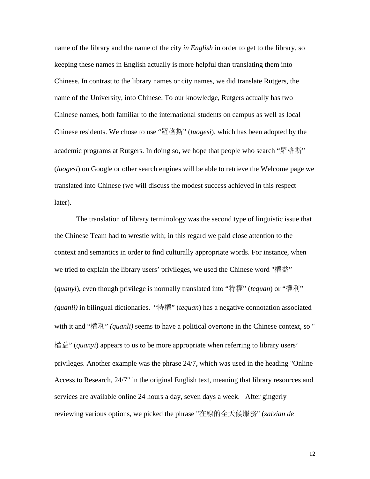name of the library and the name of the city *in English* in order to get to the library, so keeping these names in English actually is more helpful than translating them into Chinese. In contrast to the library names or city names, we did translate Rutgers, the name of the University, into Chinese. To our knowledge, Rutgers actually has two Chinese names, both familiar to the international students on campus as well as local Chinese residents. We chose to use "羅格斯" (*luogesi*), which has been adopted by the academic programs at Rutgers. In doing so, we hope that people who search "羅格斯" (*luogesi*) on Google or other search engines will be able to retrieve the Welcome page we translated into Chinese (we will discuss the modest success achieved in this respect later).

The translation of library terminology was the second type of linguistic issue that the Chinese Team had to wrestle with; in this regard we paid close attention to the context and semantics in order to find culturally appropriate words. For instance, when we tried to explain the library users' privileges, we used the Chinese word "權益" (*quanyi*), even though privilege is normally translated into "特權" (*tequan*) or "權利" *(quanli)* in bilingual dictionaries. "特權" (*tequan*) has a negative connotation associated with it and "權利" *(quanli)* seems to have a political overtone in the Chinese context, so " 權益" (*quanyi*) appears to us to be more appropriate when referring to library users' privileges. Another example was the phrase 24/7, which was used in the heading "Online Access to Research, 24/7" in the original English text, meaning that library resources and services are available online 24 hours a day, seven days a week. After gingerly reviewing various options, we picked the phrase "在線的全天候服務" (*zaixian de*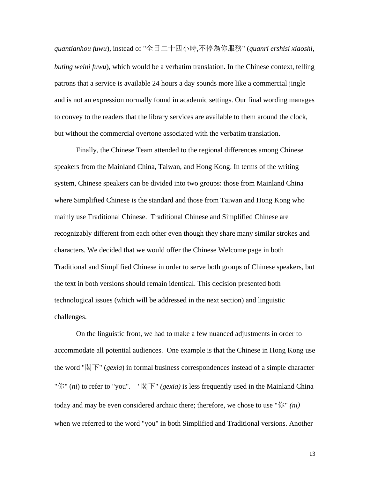*quantianhou fuwu*), instead of "全日二十四小時,不停為你服務" (*quanri ershisi xiaoshi, buting weini fuwu*), which would be a verbatim translation. In the Chinese context, telling patrons that a service is available 24 hours a day sounds more like a commercial jingle and is not an expression normally found in academic settings. Our final wording manages to convey to the readers that the library services are available to them around the clock, but without the commercial overtone associated with the verbatim translation.

Finally, the Chinese Team attended to the regional differences among Chinese speakers from the Mainland China, Taiwan, and Hong Kong. In terms of the writing system, Chinese speakers can be divided into two groups: those from Mainland China where Simplified Chinese is the standard and those from Taiwan and Hong Kong who mainly use Traditional Chinese. Traditional Chinese and Simplified Chinese are recognizably different from each other even though they share many similar strokes and characters. We decided that we would offer the Chinese Welcome page in both Traditional and Simplified Chinese in order to serve both groups of Chinese speakers, but the text in both versions should remain identical. This decision presented both technological issues (which will be addressed in the next section) and linguistic challenges.

On the linguistic front, we had to make a few nuanced adjustments in order to accommodate all potential audiences. One example is that the Chinese in Hong Kong use the word "閣下" (*gexia*) in formal business correspondences instead of a simple character "你" (*ni*) to refer to "you". "閣下" *(gexia)* is less frequently used in the Mainland China today and may be even considered archaic there; therefore, we chose to use "你" *(ni)* when we referred to the word "you" in both Simplified and Traditional versions. Another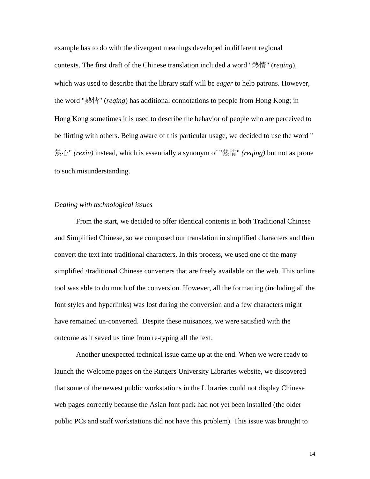example has to do with the divergent meanings developed in different regional contexts. The first draft of the Chinese translation included a word "熱情" (*reqing*), which was used to describe that the library staff will be *eager* to help patrons. However, the word "熱情" (*reqing*) has additional connotations to people from Hong Kong; in Hong Kong sometimes it is used to describe the behavior of people who are perceived to be flirting with others. Being aware of this particular usage, we decided to use the word " 熱心" *(rexin)* instead, which is essentially a synonym of "熱情" *(reqing)* but not as prone to such misunderstanding.

#### *Dealing with technological issues*

From the start, we decided to offer identical contents in both Traditional Chinese and Simplified Chinese, so we composed our translation in simplified characters and then convert the text into traditional characters. In this process, we used one of the many simplified /traditional Chinese converters that are freely available on the web. This online tool was able to do much of the conversion. However, all the formatting (including all the font styles and hyperlinks) was lost during the conversion and a few characters might have remained un-converted. Despite these nuisances, we were satisfied with the outcome as it saved us time from re-typing all the text.

Another unexpected technical issue came up at the end. When we were ready to launch the Welcome pages on the Rutgers University Libraries website, we discovered that some of the newest public workstations in the Libraries could not display Chinese web pages correctly because the Asian font pack had not yet been installed (the older public PCs and staff workstations did not have this problem). This issue was brought to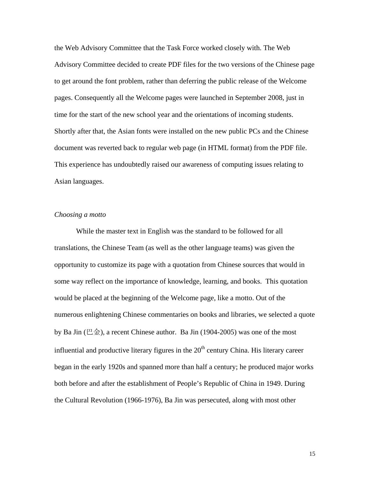the Web Advisory Committee that the Task Force worked closely with. The Web Advisory Committee decided to create PDF files for the two versions of the Chinese page to get around the font problem, rather than deferring the public release of the Welcome pages. Consequently all the Welcome pages were launched in September 2008, just in time for the start of the new school year and the orientations of incoming students. Shortly after that, the Asian fonts were installed on the new public PCs and the Chinese document was reverted back to regular web page (in HTML format) from the PDF file. This experience has undoubtedly raised our awareness of computing issues relating to Asian languages.

## *Choosing a motto*

While the master text in English was the standard to be followed for all translations, the Chinese Team (as well as the other language teams) was given the opportunity to customize its page with a quotation from Chinese sources that would in some way reflect on the importance of knowledge, learning, and books. This quotation would be placed at the beginning of the Welcome page, like a motto. Out of the numerous enlightening Chinese commentaries on books and libraries, we selected a quote by Ba Jin ( $\Xi \hat{\pm}$ ), a recent Chinese author. Ba Jin (1904-2005) was one of the most influential and productive literary figures in the  $20<sup>th</sup>$  century China. His literary career began in the early 1920s and spanned more than half a century; he produced major works both before and after the establishment of People's Republic of China in 1949. During the Cultural Revolution (1966-1976), Ba Jin was persecuted, along with most other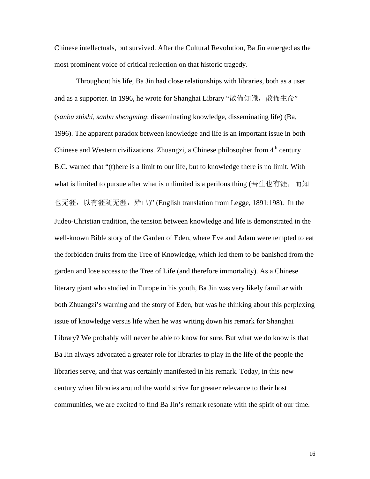Chinese intellectuals, but survived. After the Cultural Revolution, Ba Jin emerged as the most prominent voice of critical reflection on that historic tragedy.

Throughout his life, Ba Jin had close relationships with libraries, both as a user and as a supporter. In 1996, he wrote for Shanghai Library "散佈知識, 散佈生命" (*sanbu zhishi, sanbu shengming*: disseminating knowledge, disseminating life) (Ba, 1996). The apparent paradox between knowledge and life is an important issue in both Chinese and Western civilizations. Zhuangzi, a Chinese philosopher from  $4<sup>th</sup>$  century B.C. warned that "(t)here is a limit to our life, but to knowledge there is no limit. With what is limited to pursue after what is unlimited is a perilous thing (吾生也有涯, 而知 也无涯, 以有涯随无涯, 殆已)" (English translation from Legge, 1891:198). In the Judeo-Christian tradition, the tension between knowledge and life is demonstrated in the well-known Bible story of the Garden of Eden, where Eve and Adam were tempted to eat the forbidden fruits from the Tree of Knowledge, which led them to be banished from the garden and lose access to the Tree of Life (and therefore immortality). As a Chinese literary giant who studied in Europe in his youth, Ba Jin was very likely familiar with both Zhuangzi's warning and the story of Eden, but was he thinking about this perplexing issue of knowledge versus life when he was writing down his remark for Shanghai Library? We probably will never be able to know for sure. But what we do know is that Ba Jin always advocated a greater role for libraries to play in the life of the people the libraries serve, and that was certainly manifested in his remark. Today, in this new century when libraries around the world strive for greater relevance to their host communities, we are excited to find Ba Jin's remark resonate with the spirit of our time.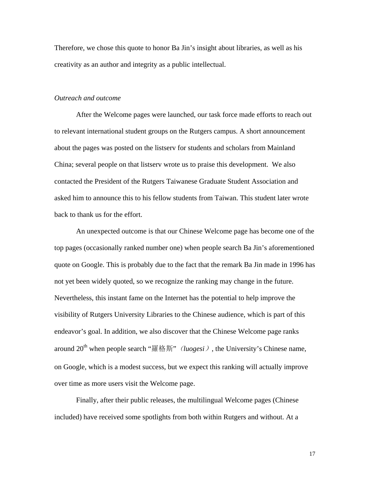Therefore, we chose this quote to honor Ba Jin's insight about libraries, as well as his creativity as an author and integrity as a public intellectual.

#### *Outreach and outcome*

After the Welcome pages were launched, our task force made efforts to reach out to relevant international student groups on the Rutgers campus. A short announcement about the pages was posted on the listserv for students and scholars from Mainland China; several people on that listserv wrote us to praise this development. We also contacted the President of the Rutgers Taiwanese Graduate Student Association and asked him to announce this to his fellow students from Taiwan. This student later wrote back to thank us for the effort.

An unexpected outcome is that our Chinese Welcome page has become one of the top pages (occasionally ranked number one) when people search Ba Jin's aforementioned quote on Google. This is probably due to the fact that the remark Ba Jin made in 1996 has not yet been widely quoted, so we recognize the ranking may change in the future. Nevertheless, this instant fame on the Internet has the potential to help improve the visibility of Rutgers University Libraries to the Chinese audience, which is part of this endeavor's goal. In addition, we also discover that the Chinese Welcome page ranks around  $20<sup>th</sup>$  when people search "羅格斯" (*luogesi*), the University's Chinese name, on Google, which is a modest success, but we expect this ranking will actually improve over time as more users visit the Welcome page.

Finally, after their public releases, the multilingual Welcome pages (Chinese included) have received some spotlights from both within Rutgers and without. At a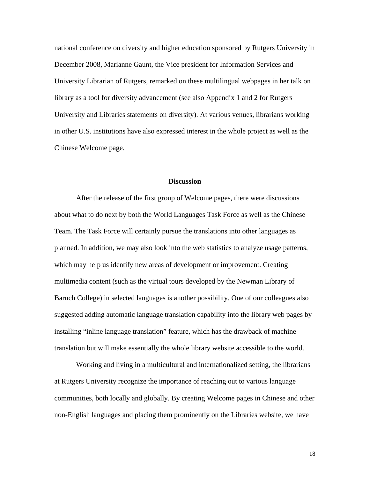national conference on diversity and higher education sponsored by Rutgers University in December 2008, Marianne Gaunt, the Vice president for Information Services and University Librarian of Rutgers, remarked on these multilingual webpages in her talk on library as a tool for diversity advancement (see also Appendix 1 and 2 for Rutgers University and Libraries statements on diversity). At various venues, librarians working in other U.S. institutions have also expressed interest in the whole project as well as the Chinese Welcome page.

## **Discussion**

After the release of the first group of Welcome pages, there were discussions about what to do next by both the World Languages Task Force as well as the Chinese Team. The Task Force will certainly pursue the translations into other languages as planned. In addition, we may also look into the web statistics to analyze usage patterns, which may help us identify new areas of development or improvement. Creating multimedia content (such as the virtual tours developed by the Newman Library of Baruch College) in selected languages is another possibility. One of our colleagues also suggested adding automatic language translation capability into the library web pages by installing "inline language translation" feature, which has the drawback of machine translation but will make essentially the whole library website accessible to the world.

Working and living in a multicultural and internationalized setting, the librarians at Rutgers University recognize the importance of reaching out to various language communities, both locally and globally. By creating Welcome pages in Chinese and other non-English languages and placing them prominently on the Libraries website, we have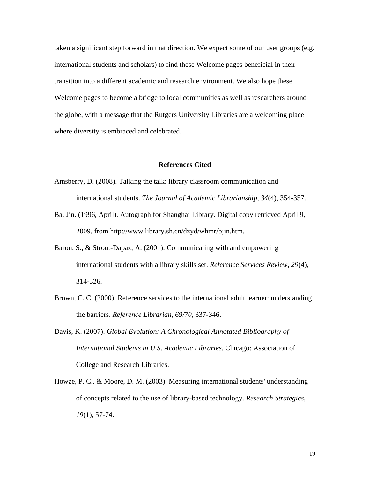taken a significant step forward in that direction. We expect some of our user groups (e.g. international students and scholars) to find these Welcome pages beneficial in their transition into a different academic and research environment. We also hope these Welcome pages to become a bridge to local communities as well as researchers around the globe, with a message that the Rutgers University Libraries are a welcoming place where diversity is embraced and celebrated.

#### **References Cited**

- Amsberry, D. (2008). Talking the talk: library classroom communication and international students. *The Journal of Academic Librarianship*, *34*(4), 354-357.
- Ba, Jin. (1996, April). Autograph for Shanghai Library. Digital copy retrieved April 9, 2009, from http://www.library.sh.cn/dzyd/whmr/bjin.htm.
- Baron, S., & Strout-Dapaz, A. (2001). Communicating with and empowering international students with a library skills set. *Reference Services Review*, *29*(4), 314-326.
- Brown, C. C. (2000). Reference services to the international adult learner: understanding the barriers. *Reference Librarian*, *69/70*, 337-346.
- Davis, K. (2007). *Global Evolution: A Chronological Annotated Bibliography of International Students in U.S. Academic Libraries*. Chicago: Association of College and Research Libraries.
- Howze, P. C., & Moore, D. M. (2003). Measuring international students' understanding of concepts related to the use of library-based technology. *Research Strategies*, *19*(1), 57-74.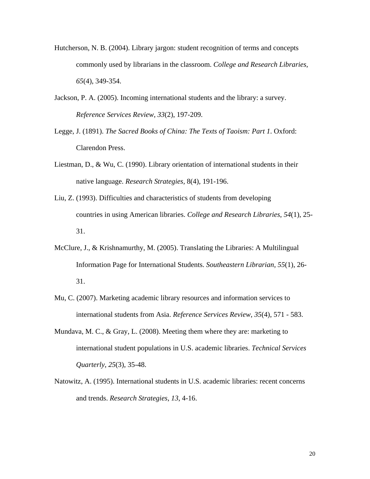- Hutcherson, N. B. (2004). Library jargon: student recognition of terms and concepts commonly used by librarians in the classroom. *College and Research Libraries*, *65*(4), 349-354.
- Jackson, P. A. (2005). Incoming international students and the library: a survey. *Reference Services Review*, *33*(2), 197-209.
- Legge, J. (1891). *The Sacred Books of China: The Texts of Taoism: Part 1*. Oxford: Clarendon Press.
- Liestman, D., & Wu, C. (1990). Library orientation of international students in their native language. *Research Strategies,* 8(4), 191-196.
- Liu, Z. (1993). Difficulties and characteristics of students from developing countries in using American libraries. *College and Research Libraries*, *54*(1), 25- 31.
- McClure, J., & Krishnamurthy, M. (2005). Translating the Libraries: A Multilingual Information Page for International Students. *Southeastern Librarian*, *55*(1), 26- 31.
- Mu, C. (2007). Marketing academic library resources and information services to international students from Asia. *Reference Services Review*, *35*(4), 571 - 583.
- Mundava, M. C., & Gray, L. (2008). Meeting them where they are: marketing to international student populations in U.S. academic libraries. *Technical Services Quarterly*, *25*(3), 35-48.
- Natowitz, A. (1995). International students in U.S. academic libraries: recent concerns and trends. *Research Strategies*, *13*, 4-16.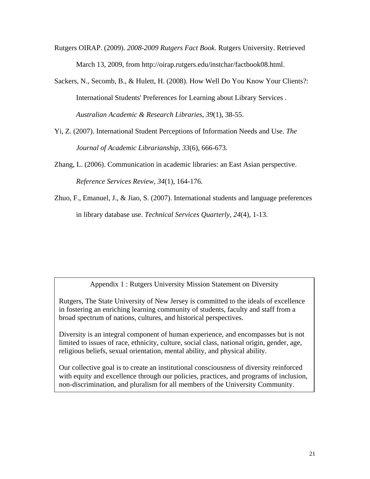- Rutgers OIRAP. (2009). *2008-2009 Rutgers Fact Book*. Rutgers University. Retrieved March 13, 2009, from http://oirap.rutgers.edu/instchar/factbook08.html.
- Sackers, N., Secomb, B., & Hulett, H. (2008). How Well Do You Know Your Clients?: International Students' Preferences for Learning about Library Services . *Australian Academic & Research Libraries*, *39*(1), 38-55.
- Yi, Z. (2007). International Student Perceptions of Information Needs and Use. *The Journal of Academic Librarianship*, *33*(6), 666-673.
- Zhang, L. (2006). Communication in academic libraries: an East Asian perspective. *Reference Services Review*, *34*(1), 164-176.
- Zhuo, F., Emanuel, J., & Jiao, S. (2007). International students and language preferences in library database use. *Technical Services Quarterly*, *24*(4), 1-13.

Appendix 1 : Rutgers University Mission Statement on Diversity

Rutgers, The State University of New Jersey is committed to the ideals of excellence in fostering an enriching learning community of students, faculty and staff from a broad spectrum of nations, cultures, and historical perspectives.

Diversity is an integral component of human experience, and encompasses but is not limited to issues of race, ethnicity, culture, social class, national origin, gender, age, religious beliefs, sexual orientation, mental ability, and physical ability.

Our collective goal is to create an institutional consciousness of diversity reinforced with equity and excellence through our policies, practices, and programs of inclusion, non-discrimination, and pluralism for all members of the University Community.